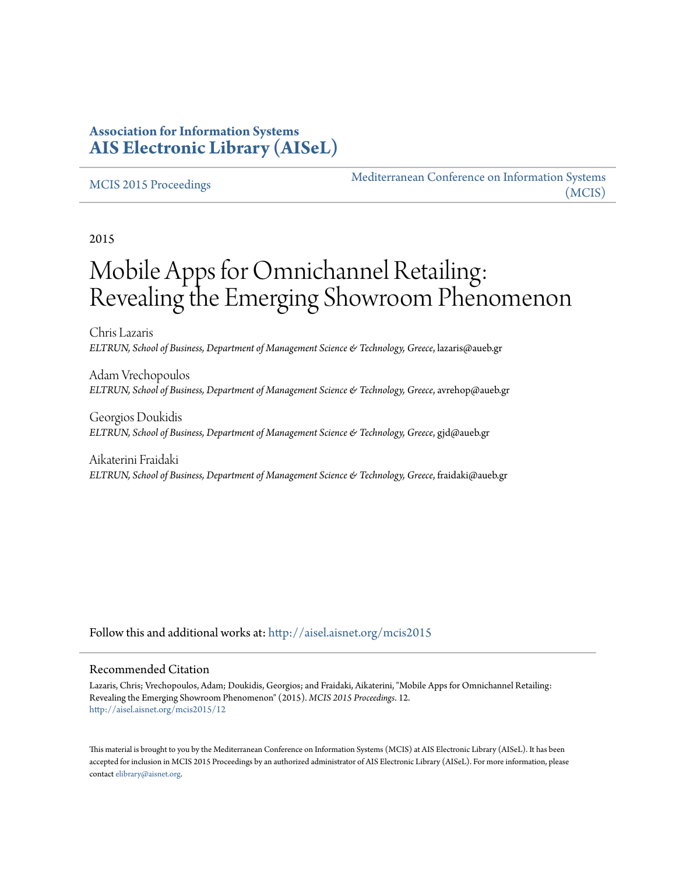#### **Association for Information Systems [AIS Electronic Library \(AISeL\)](http://aisel.aisnet.org?utm_source=aisel.aisnet.org%2Fmcis2015%2F12&utm_medium=PDF&utm_campaign=PDFCoverPages)**

#### [MCIS 2015 Proceedings](http://aisel.aisnet.org/mcis2015?utm_source=aisel.aisnet.org%2Fmcis2015%2F12&utm_medium=PDF&utm_campaign=PDFCoverPages)

[Mediterranean Conference on Information Systems](http://aisel.aisnet.org/mcis?utm_source=aisel.aisnet.org%2Fmcis2015%2F12&utm_medium=PDF&utm_campaign=PDFCoverPages) [\(MCIS\)](http://aisel.aisnet.org/mcis?utm_source=aisel.aisnet.org%2Fmcis2015%2F12&utm_medium=PDF&utm_campaign=PDFCoverPages)

2015

# Mobile Apps for Omnichannel Retailing: Revealing the Emerging Showroom Phenomenon

Chris Lazaris *ELTRUN, School of Business, Department of Management Science & Technology, Greece*, lazaris@aueb.gr

Adam Vrechopoulos *ELTRUN, School of Business, Department of Management Science & Technology, Greece*, avrehop@aueb.gr

Georgios Doukidis *ELTRUN, School of Business, Department of Management Science & Technology, Greece*, gjd@aueb.gr

Aikaterini Fraidaki *ELTRUN, School of Business, Department of Management Science & Technology, Greece*, fraidaki@aueb.gr

Follow this and additional works at: [http://aisel.aisnet.org/mcis2015](http://aisel.aisnet.org/mcis2015?utm_source=aisel.aisnet.org%2Fmcis2015%2F12&utm_medium=PDF&utm_campaign=PDFCoverPages)

#### Recommended Citation

Lazaris, Chris; Vrechopoulos, Adam; Doukidis, Georgios; and Fraidaki, Aikaterini, "Mobile Apps for Omnichannel Retailing: Revealing the Emerging Showroom Phenomenon" (2015). *MCIS 2015 Proceedings*. 12. [http://aisel.aisnet.org/mcis2015/12](http://aisel.aisnet.org/mcis2015/12?utm_source=aisel.aisnet.org%2Fmcis2015%2F12&utm_medium=PDF&utm_campaign=PDFCoverPages)

This material is brought to you by the Mediterranean Conference on Information Systems (MCIS) at AIS Electronic Library (AISeL). It has been accepted for inclusion in MCIS 2015 Proceedings by an authorized administrator of AIS Electronic Library (AISeL). For more information, please contact [elibrary@aisnet.org.](mailto:elibrary@aisnet.org%3E)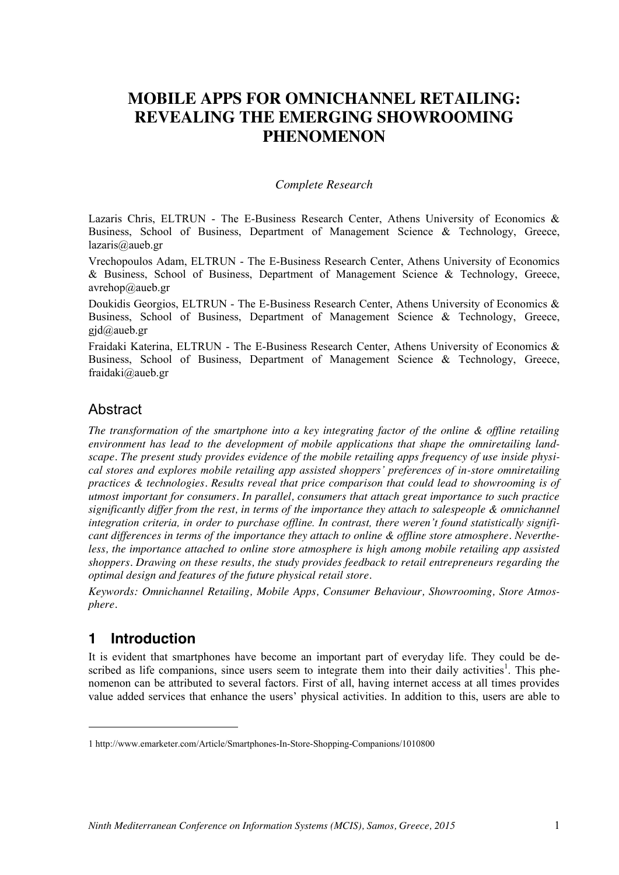## **MOBILE APPS FOR OMNICHANNEL RETAILING: REVEALING THE EMERGING SHOWROOMING PHENOMENON**

#### *Complete Research*

Lazaris Chris, ELTRUN - The E-Business Research Center, Athens University of Economics & Business, School of Business, Department of Management Science & Technology, Greece, lazaris@aueb.gr

Vrechopoulos Adam, ELTRUN - The E-Business Research Center, Athens University of Economics & Business, School of Business, Department of Management Science & Technology, Greece, avrehop@aueb.gr

Doukidis Georgios, ELTRUN - The E-Business Research Center, Athens University of Economics & Business, School of Business, Department of Management Science & Technology, Greece,  $gid@aueb.gr$ 

Fraidaki Katerina, ELTRUN - The E-Business Research Center, Athens University of Economics & Business, School of Business, Department of Management Science & Technology, Greece, fraidaki@aueb.gr

#### Abstract

*The transformation of the smartphone into a key integrating factor of the online & offline retailing environment has lead to the development of mobile applications that shape the omniretailing landscape. The present study provides evidence of the mobile retailing apps frequency of use inside physical stores and explores mobile retailing app assisted shoppers' preferences of in-store omniretailing practices & technologies. Results reveal that price comparison that could lead to showrooming is of utmost important for consumers. In parallel, consumers that attach great importance to such practice significantly differ from the rest, in terms of the importance they attach to salespeople & omnichannel integration criteria, in order to purchase offline. In contrast, there weren't found statistically significant differences in terms of the importance they attach to online & offline store atmosphere. Nevertheless, the importance attached to online store atmosphere is high among mobile retailing app assisted shoppers. Drawing on these results, the study provides feedback to retail entrepreneurs regarding the optimal design and features of the future physical retail store.*

*Keywords: Omnichannel Retailing, Mobile Apps, Consumer Behaviour, Showrooming, Store Atmosphere.*

#### **1 Introduction**

1

It is evident that smartphones have become an important part of everyday life. They could be described as life companions, since users seem to integrate them into their daily activities<sup>1</sup>. This phenomenon can be attributed to several factors. First of all, having internet access at all times provides value added services that enhance the users' physical activities. In addition to this, users are able to

<sup>1</sup> http://www.emarketer.com/Article/Smartphones-In-Store-Shopping-Companions/1010800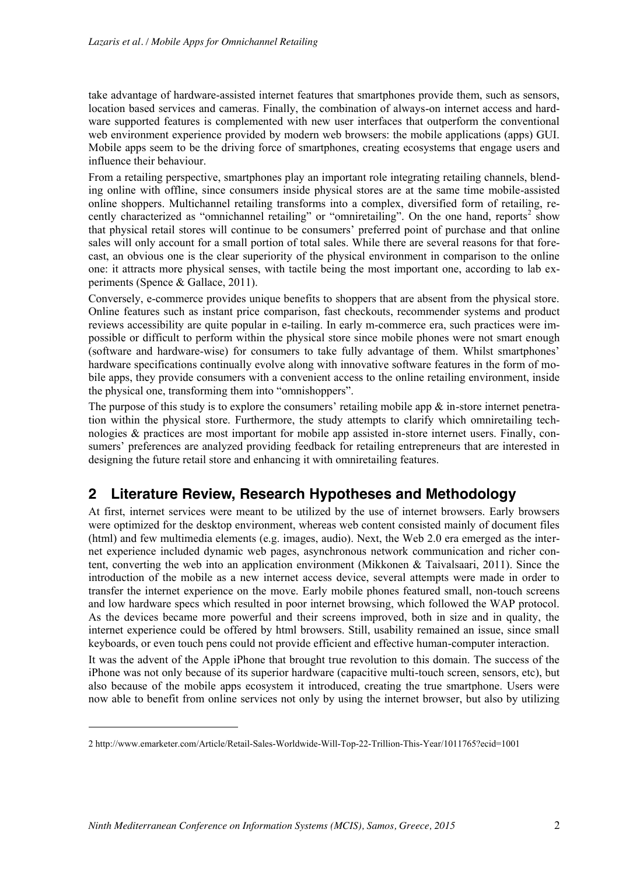take advantage of hardware-assisted internet features that smartphones provide them, such as sensors, location based services and cameras. Finally, the combination of always-on internet access and hardware supported features is complemented with new user interfaces that outperform the conventional web environment experience provided by modern web browsers: the mobile applications (apps) GUI. Mobile apps seem to be the driving force of smartphones, creating ecosystems that engage users and influence their behaviour.

From a retailing perspective, smartphones play an important role integrating retailing channels, blending online with offline, since consumers inside physical stores are at the same time mobile-assisted online shoppers. Multichannel retailing transforms into a complex, diversified form of retailing, recently characterized as "omnichannel retailing" or "omniretailing". On the one hand, reports<sup>2</sup> show that physical retail stores will continue to be consumers' preferred point of purchase and that online sales will only account for a small portion of total sales. While there are several reasons for that forecast, an obvious one is the clear superiority of the physical environment in comparison to the online one: it attracts more physical senses, with tactile being the most important one, according to lab experiments (Spence & Gallace, 2011).

Conversely, e-commerce provides unique benefits to shoppers that are absent from the physical store. Online features such as instant price comparison, fast checkouts, recommender systems and product reviews accessibility are quite popular in e-tailing. In early m-commerce era, such practices were impossible or difficult to perform within the physical store since mobile phones were not smart enough (software and hardware-wise) for consumers to take fully advantage of them. Whilst smartphones' hardware specifications continually evolve along with innovative software features in the form of mobile apps, they provide consumers with a convenient access to the online retailing environment, inside the physical one, transforming them into "omnishoppers".

The purpose of this study is to explore the consumers' retailing mobile app  $\&$  in-store internet penetration within the physical store. Furthermore, the study attempts to clarify which omniretailing technologies & practices are most important for mobile app assisted in-store internet users. Finally, consumers' preferences are analyzed providing feedback for retailing entrepreneurs that are interested in designing the future retail store and enhancing it with omniretailing features.

## **2 Literature Review, Research Hypotheses and Methodology**

At first, internet services were meant to be utilized by the use of internet browsers. Early browsers were optimized for the desktop environment, whereas web content consisted mainly of document files (html) and few multimedia elements (e.g. images, audio). Next, the Web 2.0 era emerged as the internet experience included dynamic web pages, asynchronous network communication and richer content, converting the web into an application environment (Mikkonen & Taivalsaari, 2011). Since the introduction of the mobile as a new internet access device, several attempts were made in order to transfer the internet experience on the move. Early mobile phones featured small, non-touch screens and low hardware specs which resulted in poor internet browsing, which followed the WAP protocol. As the devices became more powerful and their screens improved, both in size and in quality, the internet experience could be offered by html browsers. Still, usability remained an issue, since small keyboards, or even touch pens could not provide efficient and effective human-computer interaction.

It was the advent of the Apple iPhone that brought true revolution to this domain. The success of the iPhone was not only because of its superior hardware (capacitive multi-touch screen, sensors, etc), but also because of the mobile apps ecosystem it introduced, creating the true smartphone. Users were now able to benefit from online services not only by using the internet browser, but also by utilizing

1

<sup>2</sup> http://www.emarketer.com/Article/Retail-Sales-Worldwide-Will-Top-22-Trillion-This-Year/1011765?ecid=1001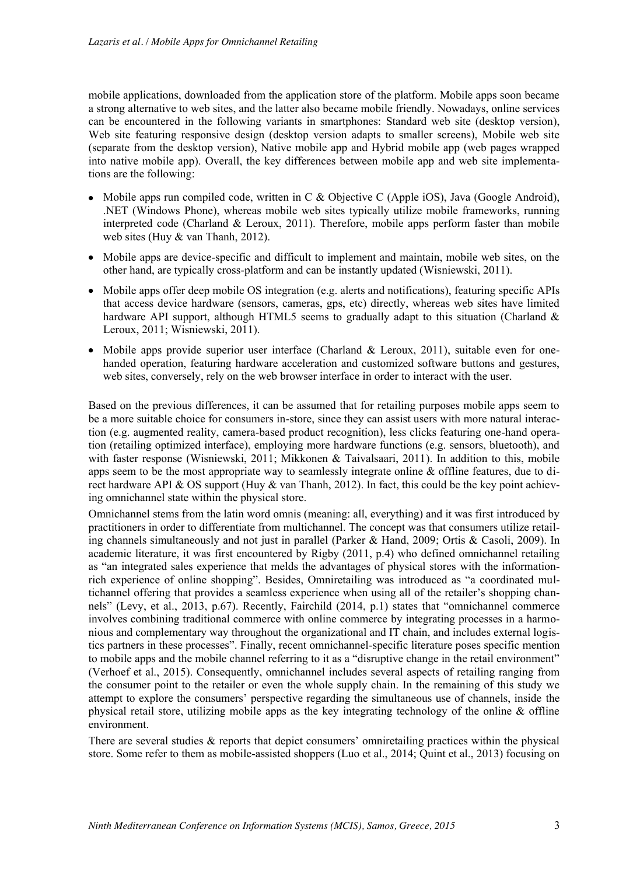mobile applications, downloaded from the application store of the platform. Mobile apps soon became a strong alternative to web sites, and the latter also became mobile friendly. Nowadays, online services can be encountered in the following variants in smartphones: Standard web site (desktop version), Web site featuring responsive design (desktop version adapts to smaller screens), Mobile web site (separate from the desktop version), Native mobile app and Hybrid mobile app (web pages wrapped into native mobile app). Overall, the key differences between mobile app and web site implementations are the following:

- Mobile apps run compiled code, written in C & Objective C (Apple iOS), Java (Google Android), .NET (Windows Phone), whereas mobile web sites typically utilize mobile frameworks, running interpreted code (Charland & Leroux, 2011). Therefore, mobile apps perform faster than mobile web sites (Huy & van Thanh, 2012).
- Mobile apps are device-specific and difficult to implement and maintain, mobile web sites, on the other hand, are typically cross-platform and can be instantly updated (Wisniewski, 2011).
- Mobile apps offer deep mobile OS integration (e.g. alerts and notifications), featuring specific APIs that access device hardware (sensors, cameras, gps, etc) directly, whereas web sites have limited hardware API support, although HTML5 seems to gradually adapt to this situation (Charland  $\&$ Leroux, 2011; Wisniewski, 2011).
- Mobile apps provide superior user interface (Charland & Leroux, 2011), suitable even for onehanded operation, featuring hardware acceleration and customized software buttons and gestures, web sites, conversely, rely on the web browser interface in order to interact with the user.

Based on the previous differences, it can be assumed that for retailing purposes mobile apps seem to be a more suitable choice for consumers in-store, since they can assist users with more natural interaction (e.g. augmented reality, camera-based product recognition), less clicks featuring one-hand operation (retailing optimized interface), employing more hardware functions (e.g. sensors, bluetooth), and with faster response (Wisniewski, 2011; Mikkonen & Taivalsaari, 2011). In addition to this, mobile apps seem to be the most appropriate way to seamlessly integrate online & offline features, due to direct hardware API & OS support (Huy & van Thanh, 2012). In fact, this could be the key point achieving omnichannel state within the physical store.

Omnichannel stems from the latin word omnis (meaning: all, everything) and it was first introduced by practitioners in order to differentiate from multichannel. The concept was that consumers utilize retailing channels simultaneously and not just in parallel (Parker & Hand, 2009; Ortis & Casoli, 2009). In academic literature, it was first encountered by Rigby (2011, p.4) who defined omnichannel retailing as "an integrated sales experience that melds the advantages of physical stores with the informationrich experience of online shopping". Besides, Omniretailing was introduced as "a coordinated multichannel offering that provides a seamless experience when using all of the retailer's shopping channels" (Levy, et al., 2013, p.67). Recently, Fairchild (2014, p.1) states that "omnichannel commerce involves combining traditional commerce with online commerce by integrating processes in a harmonious and complementary way throughout the organizational and IT chain, and includes external logistics partners in these processes". Finally, recent omnichannel-specific literature poses specific mention to mobile apps and the mobile channel referring to it as a "disruptive change in the retail environment" (Verhoef et al., 2015). Consequently, omnichannel includes several aspects of retailing ranging from the consumer point to the retailer or even the whole supply chain. In the remaining of this study we attempt to explore the consumers' perspective regarding the simultaneous use of channels, inside the physical retail store, utilizing mobile apps as the key integrating technology of the online & offline environment.

There are several studies & reports that depict consumers' omniretailing practices within the physical store. Some refer to them as mobile-assisted shoppers (Luo et al., 2014; Quint et al., 2013) focusing on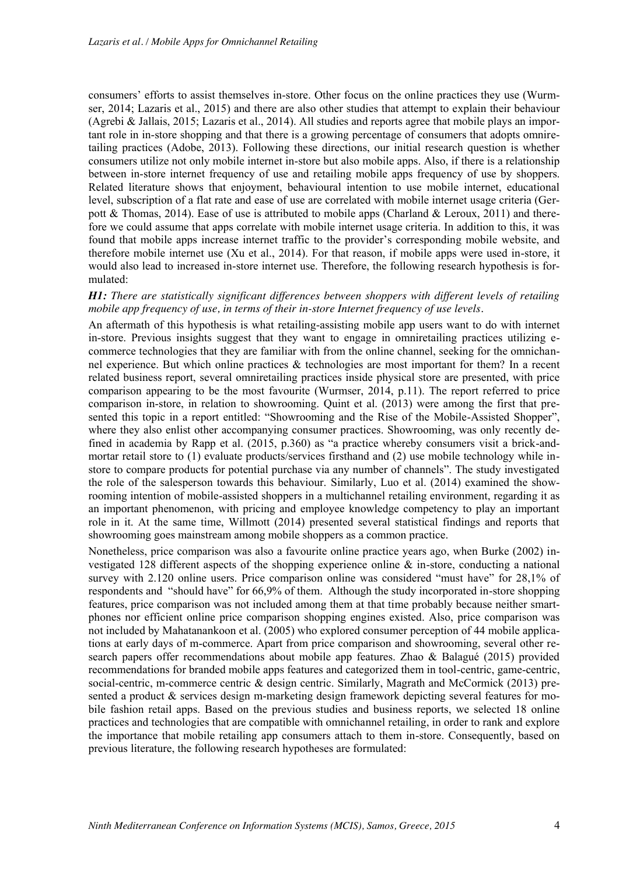consumers' efforts to assist themselves in-store. Other focus on the online practices they use (Wurmser, 2014; Lazaris et al., 2015) and there are also other studies that attempt to explain their behaviour (Agrebi & Jallais, 2015; Lazaris et al., 2014). All studies and reports agree that mobile plays an important role in in-store shopping and that there is a growing percentage of consumers that adopts omniretailing practices (Adobe, 2013). Following these directions, our initial research question is whether consumers utilize not only mobile internet in-store but also mobile apps. Also, if there is a relationship between in-store internet frequency of use and retailing mobile apps frequency of use by shoppers. Related literature shows that enjoyment, behavioural intention to use mobile internet, educational level, subscription of a flat rate and ease of use are correlated with mobile internet usage criteria (Gerpott & Thomas, 2014). Ease of use is attributed to mobile apps (Charland & Leroux, 2011) and therefore we could assume that apps correlate with mobile internet usage criteria. In addition to this, it was found that mobile apps increase internet traffic to the provider's corresponding mobile website, and therefore mobile internet use (Xu et al., 2014). For that reason, if mobile apps were used in-store, it would also lead to increased in-store internet use. Therefore, the following research hypothesis is formulated:

#### *H1: There are statistically significant differences between shoppers with different levels of retailing mobile app frequency of use, in terms of their in-store Internet frequency of use levels.*

An aftermath of this hypothesis is what retailing-assisting mobile app users want to do with internet in-store. Previous insights suggest that they want to engage in omniretailing practices utilizing ecommerce technologies that they are familiar with from the online channel, seeking for the omnichannel experience. But which online practices  $\&$  technologies are most important for them? In a recent related business report, several omniretailing practices inside physical store are presented, with price comparison appearing to be the most favourite (Wurmser, 2014, p.11). The report referred to price comparison in-store, in relation to showrooming. Quint et al. (2013) were among the first that presented this topic in a report entitled: "Showrooming and the Rise of the Mobile-Assisted Shopper", where they also enlist other accompanying consumer practices. Showrooming, was only recently defined in academia by Rapp et al. (2015, p.360) as "a practice whereby consumers visit a brick-andmortar retail store to (1) evaluate products/services firsthand and (2) use mobile technology while instore to compare products for potential purchase via any number of channels". The study investigated the role of the salesperson towards this behaviour. Similarly, Luo et al. (2014) examined the showrooming intention of mobile-assisted shoppers in a multichannel retailing environment, regarding it as an important phenomenon, with pricing and employee knowledge competency to play an important role in it. At the same time, Willmott (2014) presented several statistical findings and reports that showrooming goes mainstream among mobile shoppers as a common practice.

Nonetheless, price comparison was also a favourite online practice years ago, when Burke (2002) investigated 128 different aspects of the shopping experience online & in-store, conducting a national survey with 2.120 online users. Price comparison online was considered "must have" for 28,1% of respondents and "should have" for 66,9% of them. Although the study incorporated in-store shopping features, price comparison was not included among them at that time probably because neither smartphones nor efficient online price comparison shopping engines existed. Also, price comparison was not included by Mahatanankoon et al. (2005) who explored consumer perception of 44 mobile applications at early days of m-commerce. Apart from price comparison and showrooming, several other research papers offer recommendations about mobile app features. Zhao & Balagué (2015) provided recommendations for branded mobile apps features and categorized them in tool-centric, game-centric, social-centric, m-commerce centric & design centric. Similarly, Magrath and McCormick (2013) presented a product & services design m-marketing design framework depicting several features for mobile fashion retail apps. Based on the previous studies and business reports, we selected 18 online practices and technologies that are compatible with omnichannel retailing, in order to rank and explore the importance that mobile retailing app consumers attach to them in-store. Consequently, based on previous literature, the following research hypotheses are formulated: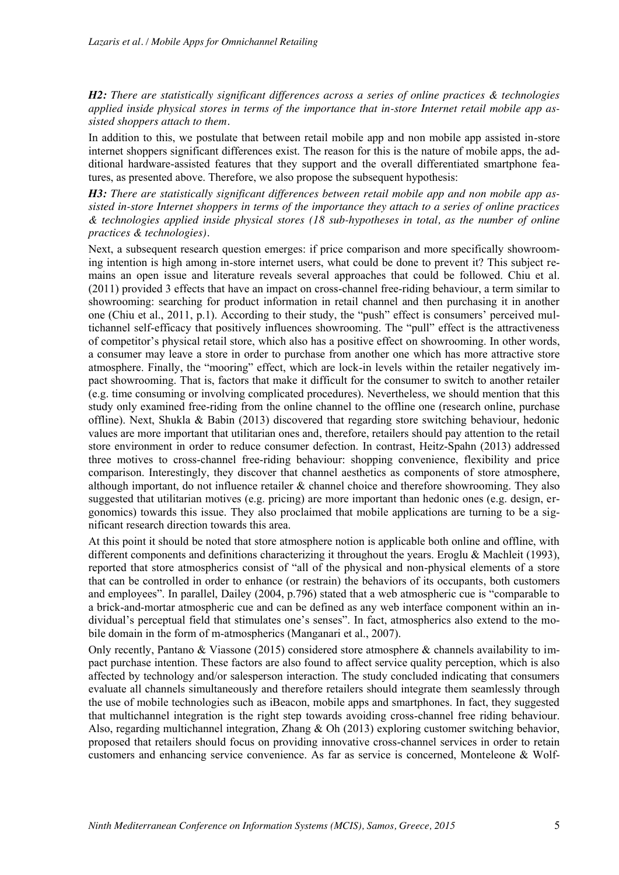*H2: There are statistically significant differences across a series of online practices & technologies applied inside physical stores in terms of the importance that in-store Internet retail mobile app assisted shoppers attach to them.*

In addition to this, we postulate that between retail mobile app and non mobile app assisted in-store internet shoppers significant differences exist. The reason for this is the nature of mobile apps, the additional hardware-assisted features that they support and the overall differentiated smartphone features, as presented above. Therefore, we also propose the subsequent hypothesis:

*H3: There are statistically significant differences between retail mobile app and non mobile app assisted in-store Internet shoppers in terms of the importance they attach to a series of online practices & technologies applied inside physical stores (18 sub-hypotheses in total, as the number of online practices & technologies).*

Next, a subsequent research question emerges: if price comparison and more specifically showrooming intention is high among in-store internet users, what could be done to prevent it? This subject remains an open issue and literature reveals several approaches that could be followed. Chiu et al. (2011) provided 3 effects that have an impact on cross-channel free-riding behaviour, a term similar to showrooming: searching for product information in retail channel and then purchasing it in another one (Chiu et al., 2011, p.1). According to their study, the "push" effect is consumers' perceived multichannel self-efficacy that positively influences showrooming. The "pull" effect is the attractiveness of competitor's physical retail store, which also has a positive effect on showrooming. In other words, a consumer may leave a store in order to purchase from another one which has more attractive store atmosphere. Finally, the "mooring" effect, which are lock-in levels within the retailer negatively impact showrooming. That is, factors that make it difficult for the consumer to switch to another retailer (e.g. time consuming or involving complicated procedures). Nevertheless, we should mention that this study only examined free-riding from the online channel to the offline one (research online, purchase offline). Next, Shukla & Babin (2013) discovered that regarding store switching behaviour, hedonic values are more important that utilitarian ones and, therefore, retailers should pay attention to the retail store environment in order to reduce consumer defection. In contrast, Heitz-Spahn (2013) addressed three motives to cross-channel free-riding behaviour: shopping convenience, flexibility and price comparison. Interestingly, they discover that channel aesthetics as components of store atmosphere, although important, do not influence retailer & channel choice and therefore showrooming. They also suggested that utilitarian motives (e.g. pricing) are more important than hedonic ones (e.g. design, ergonomics) towards this issue. They also proclaimed that mobile applications are turning to be a significant research direction towards this area.

At this point it should be noted that store atmosphere notion is applicable both online and offline, with different components and definitions characterizing it throughout the years. Eroglu & Machleit (1993), reported that store atmospherics consist of "all of the physical and non-physical elements of a store that can be controlled in order to enhance (or restrain) the behaviors of its occupants, both customers and employees". In parallel, Dailey (2004, p.796) stated that a web atmospheric cue is "comparable to a brick-and-mortar atmospheric cue and can be defined as any web interface component within an individual's perceptual field that stimulates one's senses". In fact, atmospherics also extend to the mobile domain in the form of m-atmospherics (Manganari et al., 2007).

Only recently, Pantano & Viassone (2015) considered store atmosphere & channels availability to impact purchase intention. These factors are also found to affect service quality perception, which is also affected by technology and/or salesperson interaction. The study concluded indicating that consumers evaluate all channels simultaneously and therefore retailers should integrate them seamlessly through the use of mobile technologies such as iBeacon, mobile apps and smartphones. In fact, they suggested that multichannel integration is the right step towards avoiding cross-channel free riding behaviour. Also, regarding multichannel integration, Zhang & Oh (2013) exploring customer switching behavior, proposed that retailers should focus on providing innovative cross-channel services in order to retain customers and enhancing service convenience. As far as service is concerned, Monteleone & Wolf-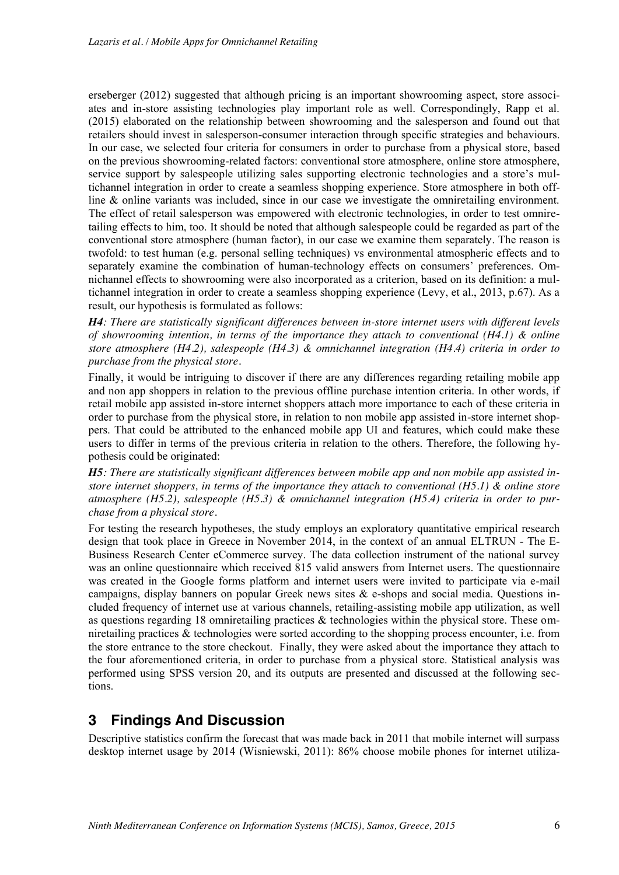erseberger (2012) suggested that although pricing is an important showrooming aspect, store associates and in-store assisting technologies play important role as well. Correspondingly, Rapp et al. (2015) elaborated on the relationship between showrooming and the salesperson and found out that retailers should invest in salesperson-consumer interaction through specific strategies and behaviours. In our case, we selected four criteria for consumers in order to purchase from a physical store, based on the previous showrooming-related factors: conventional store atmosphere, online store atmosphere, service support by salespeople utilizing sales supporting electronic technologies and a store's multichannel integration in order to create a seamless shopping experience. Store atmosphere in both offline & online variants was included, since in our case we investigate the omniretailing environment. The effect of retail salesperson was empowered with electronic technologies, in order to test omniretailing effects to him, too. It should be noted that although salespeople could be regarded as part of the conventional store atmosphere (human factor), in our case we examine them separately. The reason is twofold: to test human (e.g. personal selling techniques) vs environmental atmospheric effects and to separately examine the combination of human-technology effects on consumers' preferences. Omnichannel effects to showrooming were also incorporated as a criterion, based on its definition: a multichannel integration in order to create a seamless shopping experience (Levy, et al., 2013, p.67). As a result, our hypothesis is formulated as follows:

*H4: There are statistically significant differences between in-store internet users with different levels of showrooming intention, in terms of the importance they attach to conventional (H4.1) & online store atmosphere (H4.2), salespeople (H4.3) & omnichannel integration (H4.4) criteria in order to purchase from the physical store.*

Finally, it would be intriguing to discover if there are any differences regarding retailing mobile app and non app shoppers in relation to the previous offline purchase intention criteria. In other words, if retail mobile app assisted in-store internet shoppers attach more importance to each of these criteria in order to purchase from the physical store, in relation to non mobile app assisted in-store internet shoppers. That could be attributed to the enhanced mobile app UI and features, which could make these users to differ in terms of the previous criteria in relation to the others. Therefore, the following hypothesis could be originated:

*H5: There are statistically significant differences between mobile app and non mobile app assisted instore internet shoppers, in terms of the importance they attach to conventional (H5.1) & online store atmosphere (H5.2), salespeople (H5.3) & omnichannel integration (H5.4) criteria in order to purchase from a physical store.*

For testing the research hypotheses, the study employs an exploratory quantitative empirical research design that took place in Greece in November 2014, in the context of an annual ELTRUN - The E-Business Research Center eCommerce survey. The data collection instrument of the national survey was an online questionnaire which received 815 valid answers from Internet users. The questionnaire was created in the Google forms platform and internet users were invited to participate via e-mail campaigns, display banners on popular Greek news sites  $\&$  e-shops and social media. Questions included frequency of internet use at various channels, retailing-assisting mobile app utilization, as well as questions regarding 18 omniretailing practices & technologies within the physical store. These omniretailing practices & technologies were sorted according to the shopping process encounter, i.e. from the store entrance to the store checkout. Finally, they were asked about the importance they attach to the four aforementioned criteria, in order to purchase from a physical store. Statistical analysis was performed using SPSS version 20, and its outputs are presented and discussed at the following sections.

## **3 Findings And Discussion**

Descriptive statistics confirm the forecast that was made back in 2011 that mobile internet will surpass desktop internet usage by 2014 (Wisniewski, 2011): 86% choose mobile phones for internet utiliza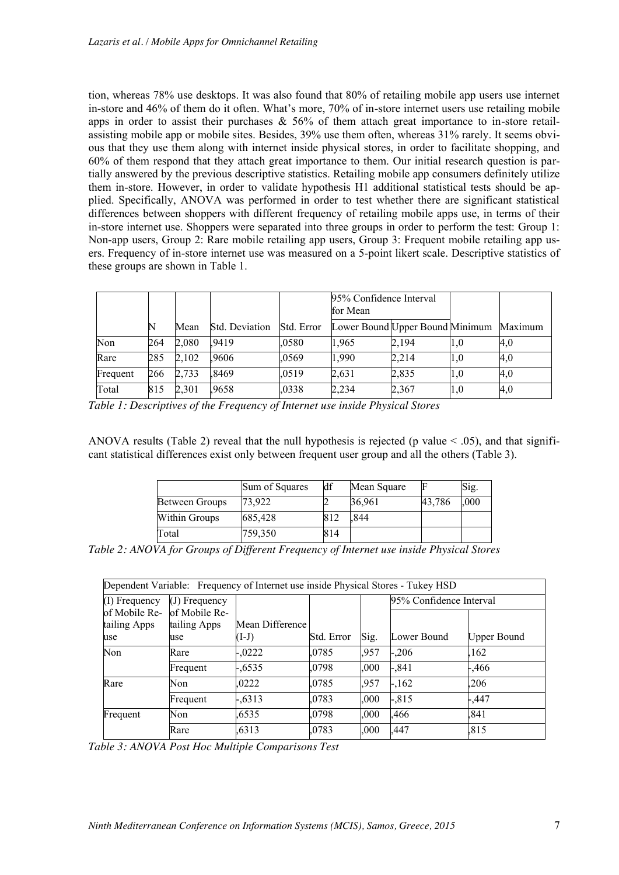tion, whereas 78% use desktops. It was also found that 80% of retailing mobile app users use internet in-store and 46% of them do it often. What's more, 70% of in-store internet users use retailing mobile apps in order to assist their purchases  $\&$  56% of them attach great importance to in-store retailassisting mobile app or mobile sites. Besides, 39% use them often, whereas 31% rarely. It seems obvious that they use them along with internet inside physical stores, in order to facilitate shopping, and 60% of them respond that they attach great importance to them. Our initial research question is partially answered by the previous descriptive statistics. Retailing mobile app consumers definitely utilize them in-store. However, in order to validate hypothesis H1 additional statistical tests should be applied. Specifically, ANOVA was performed in order to test whether there are significant statistical differences between shoppers with different frequency of retailing mobile apps use, in terms of their in-store internet use. Shoppers were separated into three groups in order to perform the test: Group 1: Non-app users, Group 2: Rare mobile retailing app users, Group 3: Frequent mobile retailing app users. Frequency of in-store internet use was measured on a 5-point likert scale. Descriptive statistics of these groups are shown in Table 1.

|          |     |       |                       |            | 95% Confidence Interval<br>for Mean     |       |                 |     |
|----------|-----|-------|-----------------------|------------|-----------------------------------------|-------|-----------------|-----|
|          |     | Mean  | <b>Std. Deviation</b> | Std. Error | Lower Bound Upper Bound Minimum Maximum |       |                 |     |
| Non      | 264 | 2,080 | .9419                 | .0580      | 1.965                                   | 2,194 | 1,0             | 4,0 |
| Rare     | 285 | 2,102 | .9606                 | .0569      | 1,990                                   | 2,214 | $\mathbf{u}$ ,0 | 4.0 |
| Frequent | 266 | 2,733 | .8469                 | .0519      | 2,631                                   | 2,835 | 1.0             | 4,0 |
| Total    | 815 | 2,301 | ,9658                 | ,0338      | 2,234                                   | 2,367 | 1,0             | 4,0 |

*Table 1: Descriptives of the Frequency of Internet use inside Physical Stores*

ANOVA results (Table 2) reveal that the null hypothesis is rejected (p value  $\leq$  .05), and that significant statistical differences exist only between frequent user group and all the others (Table 3).

|                | Sum of Squares | df  | Mean Square |        | Sig. |
|----------------|----------------|-----|-------------|--------|------|
| Between Groups | 73.922         |     | 36,961      | 43,786 | ,000 |
| Within Groups  | 685,428        | 812 | .844        |        |      |
| Total          | 759,350        | 814 |             |        |      |

*Table 2: ANOVA for Groups of Different Frequency of Internet use inside Physical Stores* 

|                                      |                                      | Dependent Variable: Frequency of Internet use inside Physical Stores - Tukey HSD |            |      |                         |                    |  |
|--------------------------------------|--------------------------------------|----------------------------------------------------------------------------------|------------|------|-------------------------|--------------------|--|
| (I) Frequency                        | $(J)$ Frequency                      |                                                                                  |            |      | 95% Confidence Interval |                    |  |
| of Mobile Re-<br>tailing Apps<br>use | of Mobile Re-<br>tailing Apps<br>use | Mean Difference<br>$(I-J)$                                                       | Std. Error | Sig. | Lower Bound             | <b>Upper Bound</b> |  |
| Non                                  | Rare                                 | $-.0222$                                                                         | .0785      | .957 | $-.206$                 | 162                |  |
|                                      | Frequent                             | $-.6535$                                                                         | .0798      | .000 | -,841                   | -,466              |  |
| Rare                                 | <b>Non</b>                           | .0222                                                                            | ,0785      | .957 | $-162$                  | .206               |  |
|                                      | Frequent                             | $-.6313$                                                                         | ,0783      | .000 | $-.815$                 | -,447              |  |
| Frequent                             | Non                                  | .6535                                                                            | .0798      | .000 | .466                    | .841               |  |
|                                      | Rare                                 | .6313                                                                            | ,0783      | .000 | ,447                    | .815               |  |

*Table 3: ANOVA Post Hoc Multiple Comparisons Test*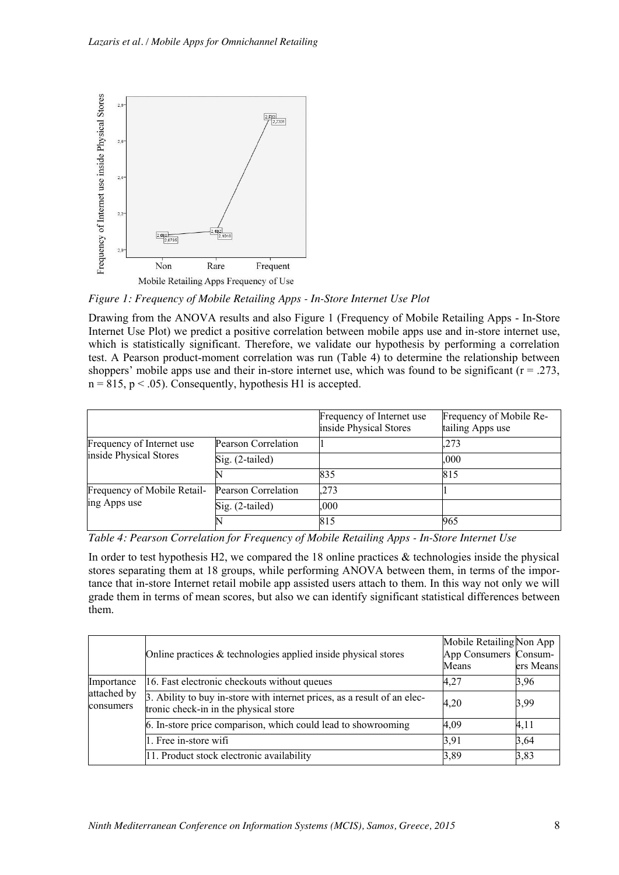

*Figure 1: Frequency of Mobile Retailing Apps - In-Store Internet Use Plot*

Drawing from the ANOVA results and also Figure 1 (Frequency of Mobile Retailing Apps - In-Store Internet Use Plot) we predict a positive correlation between mobile apps use and in-store internet use, which is statistically significant. Therefore, we validate our hypothesis by performing a correlation test. A Pearson product-moment correlation was run (Table 4) to determine the relationship between shoppers' mobile apps use and their in-store internet use, which was found to be significant  $(r = .273)$ .  $n = 815$ ,  $p < .05$ ). Consequently, hypothesis H1 is accepted.

|                             |                     | Frequency of Internet use<br>inside Physical Stores | Frequency of Mobile Re-<br>tailing Apps use |
|-----------------------------|---------------------|-----------------------------------------------------|---------------------------------------------|
| Frequency of Internet use   | Pearson Correlation |                                                     | .273                                        |
| inside Physical Stores      | $Sig. (2-tailed)$   |                                                     | .000                                        |
|                             |                     | 835                                                 | 815                                         |
| Frequency of Mobile Retail- | Pearson Correlation | .273                                                |                                             |
| ing Apps use                | Sig. (2-tailed)     | .000                                                |                                             |
|                             |                     | 815                                                 | 965                                         |

*Table 4: Pearson Correlation for Frequency of Mobile Retailing Apps - In-Store Internet Use*

In order to test hypothesis H2, we compared the 18 online practices  $\&$  technologies inside the physical stores separating them at 18 groups, while performing ANOVA between them, in terms of the importance that in-store Internet retail mobile app assisted users attach to them. In this way not only we will grade them in terms of mean scores, but also we can identify significant statistical differences between them.

|                          | Online practices $\&$ technologies applied inside physical stores                                                 | Mobile Retailing Non App<br>App Consumers Consum-<br>Means | ers Means |
|--------------------------|-------------------------------------------------------------------------------------------------------------------|------------------------------------------------------------|-----------|
| Importance               | 16. Fast electronic checkouts without queues                                                                      | 4,27                                                       | 3,96      |
| attached by<br>consumers | 3. Ability to buy in-store with internet prices, as a result of an elec-<br>tronic check-in in the physical store | 4,20                                                       | 3,99      |
|                          | 6. In-store price comparison, which could lead to showrooming                                                     | 4,09                                                       | 4,11      |
|                          | 1. Free in-store wifi                                                                                             | 3,91                                                       | 3,64      |
|                          | 11. Product stock electronic availability                                                                         | 3,89                                                       | 3,83      |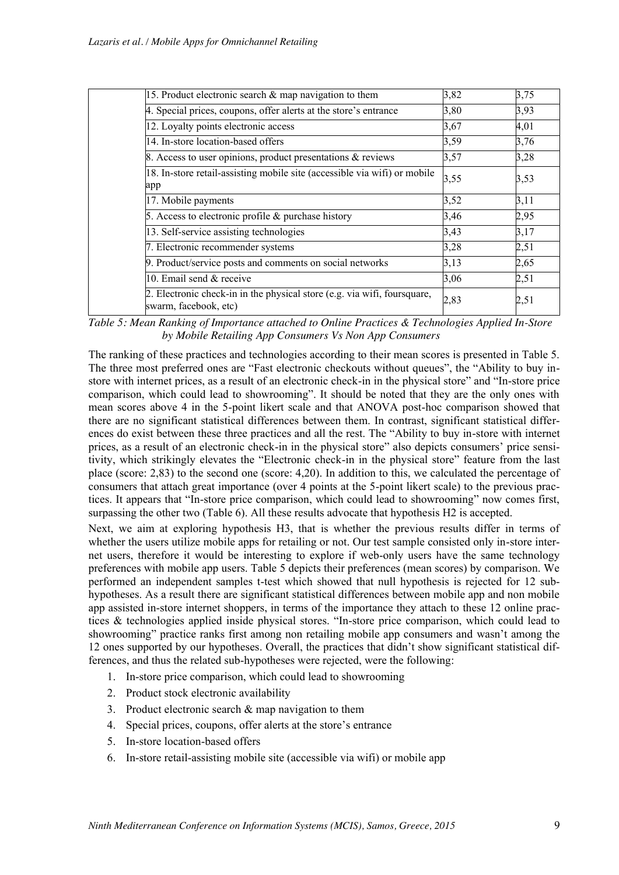| 15. Product electronic search $\&$ map navigation to them                                         | 3,82 | 3,75 |
|---------------------------------------------------------------------------------------------------|------|------|
| 4. Special prices, coupons, offer alerts at the store's entrance                                  | 3,80 | 3,93 |
| 12. Loyalty points electronic access                                                              | 3,67 | 4,01 |
| 14. In-store location-based offers                                                                | 3,59 | 3,76 |
| 8. Access to user opinions, product presentations & reviews                                       | 3,57 | 3,28 |
| 18. In-store retail-assisting mobile site (accessible via wifi) or mobile<br>app                  | 3,55 | 3,53 |
| 17. Mobile payments                                                                               | 3,52 | 3,11 |
| 5. Access to electronic profile $\&$ purchase history                                             | 3,46 | 2,95 |
| 13. Self-service assisting technologies                                                           | 3,43 | 3,17 |
| 7. Electronic recommender systems                                                                 | 3,28 | 2,51 |
| 9. Product/service posts and comments on social networks                                          | 3,13 | 2,65 |
| 10. Email send & receive                                                                          | 3,06 | 2,51 |
| 2. Electronic check-in in the physical store (e.g. via wifi, foursquare,<br>swarm, facebook, etc) | 2,83 | 2,51 |

*Table 5: Mean Ranking of Importance attached to Online Practices & Technologies Applied In-Store by Mobile Retailing App Consumers Vs Non App Consumers*

The ranking of these practices and technologies according to their mean scores is presented in Table 5. The three most preferred ones are "Fast electronic checkouts without queues", the "Ability to buy instore with internet prices, as a result of an electronic check-in in the physical store" and "In-store price comparison, which could lead to showrooming". It should be noted that they are the only ones with mean scores above 4 in the 5-point likert scale and that ANOVA post-hoc comparison showed that there are no significant statistical differences between them. In contrast, significant statistical differences do exist between these three practices and all the rest. The "Ability to buy in-store with internet prices, as a result of an electronic check-in in the physical store" also depicts consumers' price sensitivity, which strikingly elevates the "Electronic check-in in the physical store" feature from the last place (score: 2,83) to the second one (score: 4,20). In addition to this, we calculated the percentage of consumers that attach great importance (over 4 points at the 5-point likert scale) to the previous practices. It appears that "In-store price comparison, which could lead to showrooming" now comes first, surpassing the other two (Table 6). All these results advocate that hypothesis H2 is accepted.

Next, we aim at exploring hypothesis H3, that is whether the previous results differ in terms of whether the users utilize mobile apps for retailing or not. Our test sample consisted only in-store internet users, therefore it would be interesting to explore if web-only users have the same technology preferences with mobile app users. Table 5 depicts their preferences (mean scores) by comparison. We performed an independent samples t-test which showed that null hypothesis is rejected for 12 subhypotheses. As a result there are significant statistical differences between mobile app and non mobile app assisted in-store internet shoppers, in terms of the importance they attach to these 12 online practices & technologies applied inside physical stores. "In-store price comparison, which could lead to showrooming" practice ranks first among non retailing mobile app consumers and wasn't among the 12 ones supported by our hypotheses. Overall, the practices that didn't show significant statistical differences, and thus the related sub-hypotheses were rejected, were the following:

- 1. In-store price comparison, which could lead to showrooming
- 2. Product stock electronic availability
- 3. Product electronic search & map navigation to them
- 4. Special prices, coupons, offer alerts at the store's entrance
- 5. In-store location-based offers
- 6. In-store retail-assisting mobile site (accessible via wifi) or mobile app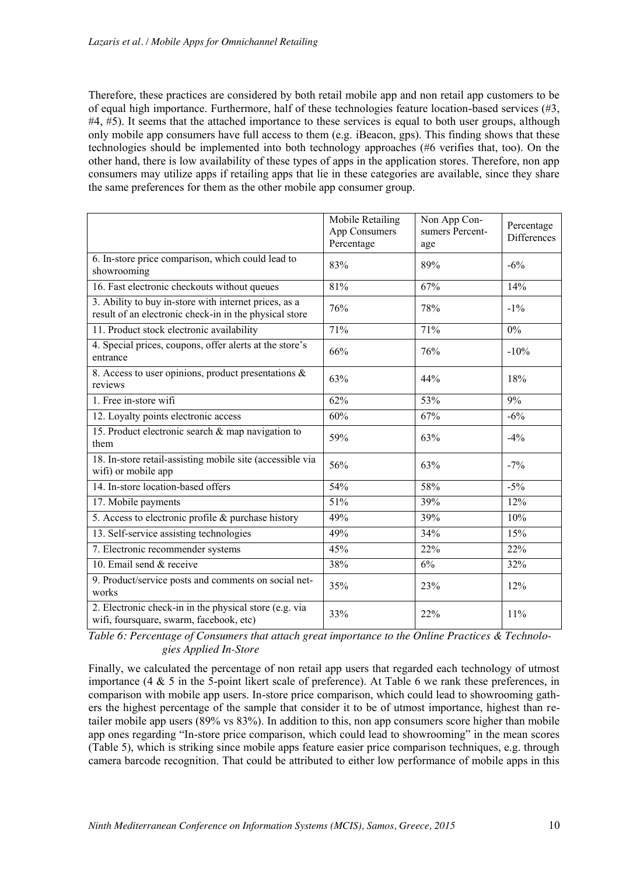Therefore, these practices are considered by both retail mobile app and non retail app customers to be of equal high importance. Furthermore, half of these technologies feature location-based services (#3, #4, #5). It seems that the attached importance to these services is equal to both user groups, although only mobile app consumers have full access to them (e.g. iBeacon, gps). This finding shows that these technologies should be implemented into both technology approaches (#6 verifies that, too). On the other hand, there is low availability of these types of apps in the application stores. Therefore, non app consumers may utilize apps if retailing apps that lie in these categories are available, since they share the same preferences for them as the other mobile app consumer group.

|                                                                                                                 | Mobile Retailing<br>App Consumers<br>Percentage | Non App Con-<br>sumers Percent-<br>age | Percentage<br>Differences |
|-----------------------------------------------------------------------------------------------------------------|-------------------------------------------------|----------------------------------------|---------------------------|
| 6. In-store price comparison, which could lead to<br>showrooming                                                | 83%                                             | 89%                                    | $-6\%$                    |
| 16. Fast electronic checkouts without queues                                                                    | 81%                                             | 67%                                    | 14%                       |
| 3. Ability to buy in-store with internet prices, as a<br>result of an electronic check-in in the physical store | 76%                                             | 78%                                    | $-1\%$                    |
| 11. Product stock electronic availability                                                                       | 71%                                             | 71%                                    | $0\%$                     |
| 4. Special prices, coupons, offer alerts at the store's<br>entrance                                             | 66%                                             | 76%                                    | $-10%$                    |
| 8. Access to user opinions, product presentations &<br>reviews                                                  | 63%                                             | 44%                                    | 18%                       |
| 1. Free in-store wifi                                                                                           | 62%                                             | 53%                                    | 9%                        |
| 12. Loyalty points electronic access                                                                            | 60%                                             | 67%                                    | $-6%$                     |
| 15. Product electronic search & map navigation to<br>them                                                       | 59%                                             | 63%                                    | $-4%$                     |
| 18. In-store retail-assisting mobile site (accessible via<br>wifi) or mobile app                                | 56%                                             | 63%                                    | $-7\%$                    |
| 14. In-store location-based offers                                                                              | 54%                                             | 58%                                    | $-5%$                     |
| 17. Mobile payments                                                                                             | 51%                                             | 39%                                    | 12%                       |
| 5. Access to electronic profile & purchase history                                                              | 49%                                             | 39%                                    | 10%                       |
| 13. Self-service assisting technologies                                                                         | 49%                                             | 34%                                    | 15%                       |
| 7. Electronic recommender systems                                                                               | 45%                                             | 22%                                    | 22%                       |
| 10. Email send & receive                                                                                        | 38%                                             | 6%                                     | 32%                       |
| 9. Product/service posts and comments on social net-<br>works                                                   | 35%                                             | 23%                                    | 12%                       |
| 2. Electronic check-in in the physical store (e.g. via<br>wifi, foursquare, swarm, facebook, etc)               | 33%                                             | 22%                                    | 11%                       |

*Table 6: Percentage of Consumers that attach great importance to the Online Practices & Technologies Applied In-Store*

Finally, we calculated the percentage of non retail app users that regarded each technology of utmost importance (4 & 5 in the 5-point likert scale of preference). At Table 6 we rank these preferences, in comparison with mobile app users. In-store price comparison, which could lead to showrooming gathers the highest percentage of the sample that consider it to be of utmost importance, highest than retailer mobile app users (89% vs 83%). In addition to this, non app consumers score higher than mobile app ones regarding "In-store price comparison, which could lead to showrooming" in the mean scores (Table 5), which is striking since mobile apps feature easier price comparison techniques, e.g. through camera barcode recognition. That could be attributed to either low performance of mobile apps in this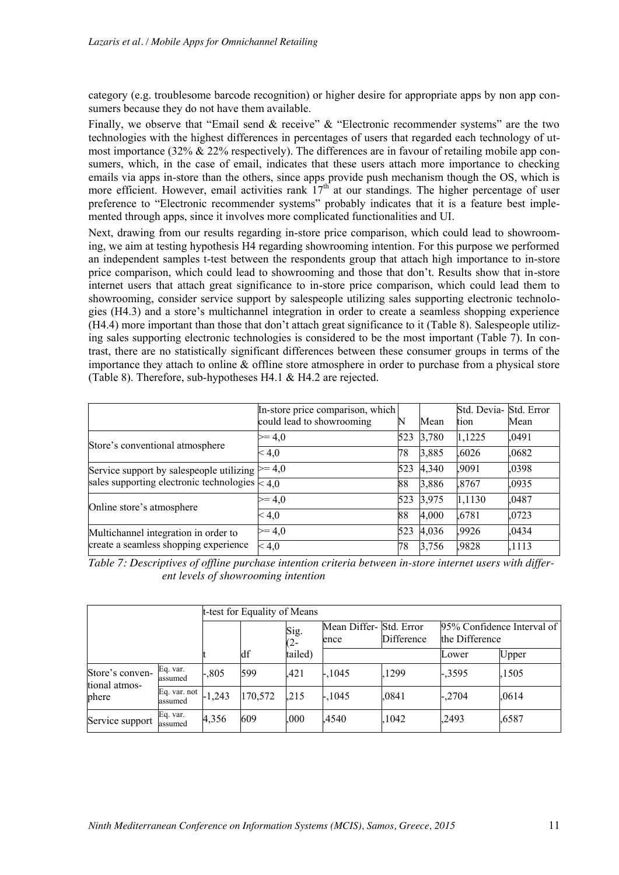category (e.g. troublesome barcode recognition) or higher desire for appropriate apps by non app consumers because they do not have them available.

Finally, we observe that "Email send & receive" & "Electronic recommender systems" are the two technologies with the highest differences in percentages of users that regarded each technology of utmost importance  $(32\% \& 22\%$  respectively). The differences are in favour of retailing mobile app consumers, which, in the case of email, indicates that these users attach more importance to checking emails via apps in-store than the others, since apps provide push mechanism though the OS, which is more efficient. However, email activities rank  $17<sup>th</sup>$  at our standings. The higher percentage of user preference to "Electronic recommender systems" probably indicates that it is a feature best implemented through apps, since it involves more complicated functionalities and UI.

Next, drawing from our results regarding in-store price comparison, which could lead to showrooming, we aim at testing hypothesis H4 regarding showrooming intention. For this purpose we performed an independent samples t-test between the respondents group that attach high importance to in-store price comparison, which could lead to showrooming and those that don't. Results show that in-store internet users that attach great significance to in-store price comparison, which could lead them to showrooming, consider service support by salespeople utilizing sales supporting electronic technologies (H4.3) and a store's multichannel integration in order to create a seamless shopping experience (H4.4) more important than those that don't attach great significance to it (Table 8). Salespeople utilizing sales supporting electronic technologies is considered to be the most important (Table 7). In contrast, there are no statistically significant differences between these consumer groups in terms of the importance they attach to online & offline store atmosphere in order to purchase from a physical store (Table 8). Therefore, sub-hypotheses H4.1 & H4.2 are rejected.

|                                                     | In-store price comparison, which |     |       | Std. Devia- Std. Error |       |
|-----------------------------------------------------|----------------------------------|-----|-------|------------------------|-------|
|                                                     | could lead to showrooming        | N   | Mean  | tion                   | Mean  |
| Store's conventional atmosphere                     | $>= 4.0$                         | 523 | 3,780 | 1,1225                 | .0491 |
|                                                     | < 4,0                            | 78  | 3,885 | .6026                  | .0682 |
| Service support by salespeople utilizing $\geq 4.0$ |                                  | 523 | 4,340 | .9091                  | .0398 |
| sales supporting electronic technologies $\leq 4.0$ |                                  | 88  | 3,886 | ,8767                  | .0935 |
| Online store's atmosphere                           | $>= 4.0$                         | 523 | 3,975 | 1,1130                 | .0487 |
|                                                     | < 4,0                            | 88  | 4,000 | .6781                  | .0723 |
| Multichannel integration in order to                | $>= 4.0$                         | 523 | 4,036 | .9926                  | .0434 |
| create a seamless shopping experience               | < 4,0                            | 78  | 3,756 | ,9828                  | ,1113 |

*Table 7: Descriptives of offline purchase intention criteria between in-store internet users with different levels of showrooming intention*

|                                  |                         |          | t-test for Equality of Means |                |                                |            |                |                            |  |  |
|----------------------------------|-------------------------|----------|------------------------------|----------------|--------------------------------|------------|----------------|----------------------------|--|--|
|                                  |                         |          |                              | Sig.<br>$(2 -$ | Mean Differ-Std. Error<br>ence | Difference | the Difference | 95% Confidence Interval of |  |  |
|                                  |                         |          | df                           | tailed)        |                                |            | Lower          | Upper                      |  |  |
| Store's conven-<br>tional atmos- | Eq. var.<br>assumed     | $-.805$  | 599                          | .421           | $-1045$                        | .1299      | $-.3595$       | ,1505                      |  |  |
| phere                            | Eq. var. not<br>assumed | $-1,243$ | 170,572                      | .215           | $-1045$                        | .0841      | $-.2704$       | .0614                      |  |  |
| Service support                  | Eq. var.<br>assumed     | 4,356    | 609                          | .000           | .4540                          | 1042       | .2493          | ,6587                      |  |  |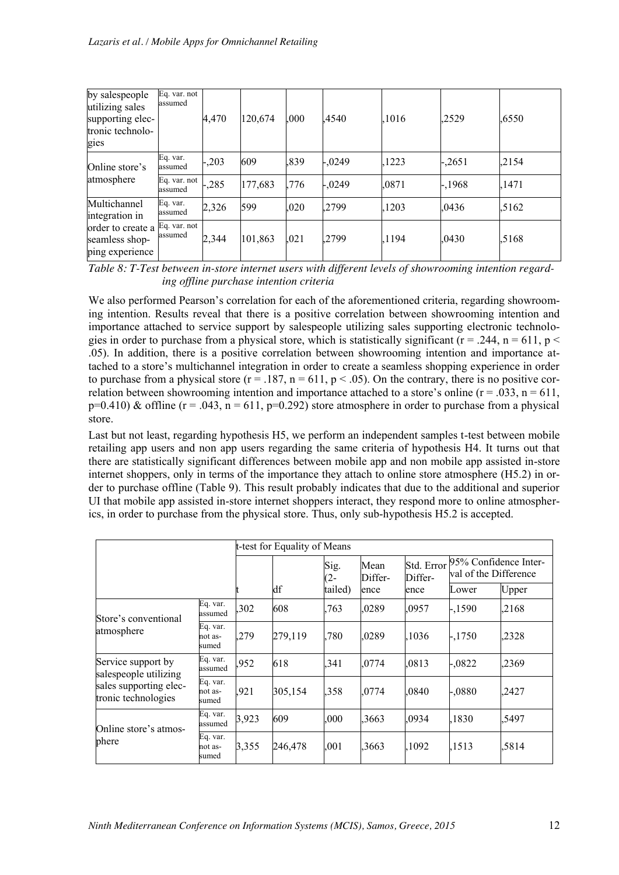| by salespeople<br>utilizing sales<br>supporting elec-<br>tronic technolo-<br>gies | Eq. var. not<br>assumed | 4,470  | 120,674 | .000 | 4540     | .1016 | 2529     | .6550 |
|-----------------------------------------------------------------------------------|-------------------------|--------|---------|------|----------|-------|----------|-------|
| Online store's                                                                    | Eq. var.<br>assumed     | $-203$ | 609     | .839 | $-.0249$ | .1223 | $-.2651$ | .2154 |
| atmosphere                                                                        | Eq. var. not<br>assumed | $-285$ | 177,683 | .776 | $-.0249$ | .0871 | $-1968$  | .1471 |
| Multichannel<br>integration in                                                    | Eq. var.<br>assumed     | 2,326  | 599     | ,020 | .2799    | .1203 | .0436    | .5162 |
| order to create a<br>seamless shop-<br>ping experience                            | Eq. var. not<br>assumed | 2,344  | 101,863 | ,021 | .2799    | 1194  | .0430    | .5168 |

*Table 8: T-Test between in-store internet users with different levels of showrooming intention regarding offline purchase intention criteria* 

We also performed Pearson's correlation for each of the aforementioned criteria, regarding showrooming intention. Results reveal that there is a positive correlation between showrooming intention and importance attached to service support by salespeople utilizing sales supporting electronic technologies in order to purchase from a physical store, which is statistically significant ( $r = .244$ ,  $n = 611$ ,  $p <$ .05). In addition, there is a positive correlation between showrooming intention and importance attached to a store's multichannel integration in order to create a seamless shopping experience in order to purchase from a physical store ( $r = .187$ ,  $n = 611$ ,  $p < .05$ ). On the contrary, there is no positive correlation between showrooming intention and importance attached to a store's online ( $r = .033$ ,  $n = 611$ ,  $p=0.410$ ) & offline (r = .043, n = 611, p=0.292) store atmosphere in order to purchase from a physical store.

Last but not least, regarding hypothesis H5, we perform an independent samples t-test between mobile retailing app users and non app users regarding the same criteria of hypothesis H4. It turns out that there are statistically significant differences between mobile app and non mobile app assisted in-store internet shoppers, only in terms of the importance they attach to online store atmosphere (H5.2) in order to purchase offline (Table 9). This result probably indicates that due to the additional and superior UI that mobile app assisted in-store internet shoppers interact, they respond more to online atmospherics, in order to purchase from the physical store. Thus, only sub-hypothesis H5.2 is accepted.

|                                               |                              |       | t-test for Equality of Means |         |                                                            |       |                                                |       |
|-----------------------------------------------|------------------------------|-------|------------------------------|---------|------------------------------------------------------------|-------|------------------------------------------------|-------|
|                                               |                              |       |                              |         | Std. Error<br>Sig.<br>Mean<br>$(2 -$<br>Differ-<br>Differ- |       | 95% Confidence Inter-<br>val of the Difference |       |
|                                               |                              |       | df                           | tailed) | ence                                                       | ence  | Lower                                          | Upper |
| Store's conventional<br>atmosphere            | Eq. var.<br>assumed          | ,302  | 608                          | .763    | .0289                                                      | .0957 | $-1590$                                        | ,2168 |
|                                               | Eq. var.<br>not as-<br>sumed | .279  | 279,119                      | ,780    | .0289                                                      | .1036 | $-.1750$                                       | .2328 |
| Service support by<br>salespeople utilizing   | Eq. var.<br>assumed          | ,952  | 618                          | .341    | .0774                                                      | .0813 | $-.0822$                                       | .2369 |
| sales supporting elec-<br>tronic technologies | Eq. var.<br>not as-<br>sumed | .921  | 305,154                      | ,358    | .0774                                                      | .0840 | $-.0880$                                       | .2427 |
| Online store's atmos-<br>phere                | Eq. var.<br>assumed          | 3,923 | 609                          | ,000    | ,3663                                                      | .0934 | ,1830                                          | .5497 |
|                                               | Eq. var.<br>not as-<br>sumed | 3,355 | 246,478                      | .001    | ,3663                                                      | ,1092 | .1513                                          | 5814  |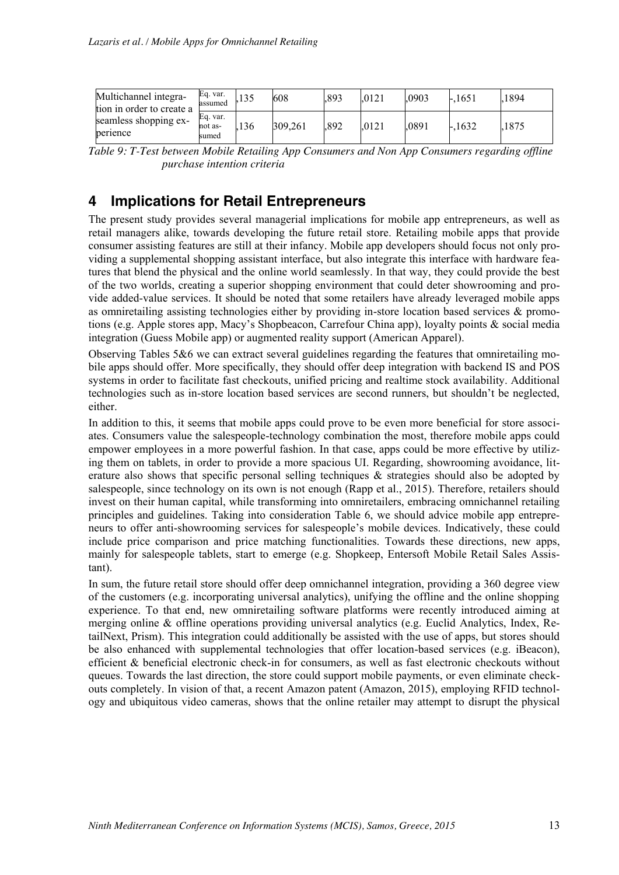| Multichannel integra-<br>tion in order to create a | Eq. var.<br>assumed          |     | 608     | .893 | .0121 | .0903 | $-.1651$ | 1894 |
|----------------------------------------------------|------------------------------|-----|---------|------|-------|-------|----------|------|
| seamless shopping ex-<br>perience                  | Eq. var.<br>not as-<br>sumed | 136 | 309,261 | .892 | .0121 | 0891  | $-.1632$ | 1875 |

*Table 9: T-Test between Mobile Retailing App Consumers and Non App Consumers regarding offline purchase intention criteria*

## **4 Implications for Retail Entrepreneurs**

The present study provides several managerial implications for mobile app entrepreneurs, as well as retail managers alike, towards developing the future retail store. Retailing mobile apps that provide consumer assisting features are still at their infancy. Mobile app developers should focus not only providing a supplemental shopping assistant interface, but also integrate this interface with hardware features that blend the physical and the online world seamlessly. In that way, they could provide the best of the two worlds, creating a superior shopping environment that could deter showrooming and provide added-value services. It should be noted that some retailers have already leveraged mobile apps as omniretailing assisting technologies either by providing in-store location based services & promotions (e.g. Apple stores app, Macy's Shopbeacon, Carrefour China app), loyalty points & social media integration (Guess Mobile app) or augmented reality support (American Apparel).

Observing Tables 5&6 we can extract several guidelines regarding the features that omniretailing mobile apps should offer. More specifically, they should offer deep integration with backend IS and POS systems in order to facilitate fast checkouts, unified pricing and realtime stock availability. Additional technologies such as in-store location based services are second runners, but shouldn't be neglected, either.

In addition to this, it seems that mobile apps could prove to be even more beneficial for store associates. Consumers value the salespeople-technology combination the most, therefore mobile apps could empower employees in a more powerful fashion. In that case, apps could be more effective by utilizing them on tablets, in order to provide a more spacious UI. Regarding, showrooming avoidance, literature also shows that specific personal selling techniques & strategies should also be adopted by salespeople, since technology on its own is not enough (Rapp et al., 2015). Therefore, retailers should invest on their human capital, while transforming into omniretailers, embracing omnichannel retailing principles and guidelines. Taking into consideration Table 6, we should advice mobile app entrepreneurs to offer anti-showrooming services for salespeople's mobile devices. Indicatively, these could include price comparison and price matching functionalities. Towards these directions, new apps, mainly for salespeople tablets, start to emerge (e.g. Shopkeep, Entersoft Mobile Retail Sales Assistant).

In sum, the future retail store should offer deep omnichannel integration, providing a 360 degree view of the customers (e.g. incorporating universal analytics), unifying the offline and the online shopping experience. To that end, new omniretailing software platforms were recently introduced aiming at merging online & offline operations providing universal analytics (e.g. Euclid Analytics, Index, RetailNext, Prism). This integration could additionally be assisted with the use of apps, but stores should be also enhanced with supplemental technologies that offer location-based services (e.g. iBeacon), efficient & beneficial electronic check-in for consumers, as well as fast electronic checkouts without queues. Towards the last direction, the store could support mobile payments, or even eliminate checkouts completely. In vision of that, a recent Amazon patent (Amazon, 2015), employing RFID technology and ubiquitous video cameras, shows that the online retailer may attempt to disrupt the physical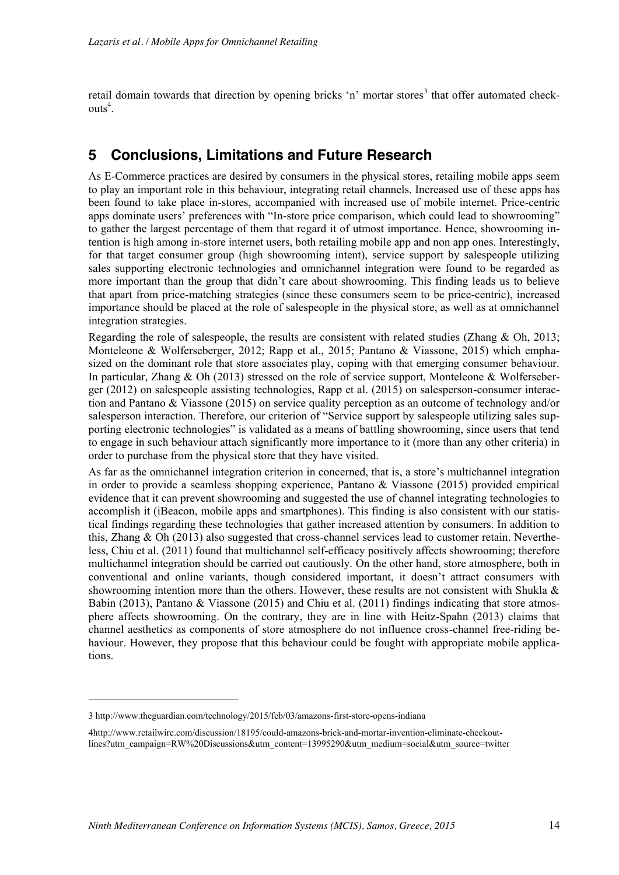retail domain towards that direction by opening bricks 'n' mortar stores<sup>3</sup> that offer automated checkouts<sup>4</sup>.

### **5 Conclusions, Limitations and Future Research**

As E-Commerce practices are desired by consumers in the physical stores, retailing mobile apps seem to play an important role in this behaviour, integrating retail channels. Increased use of these apps has been found to take place in-stores, accompanied with increased use of mobile internet. Price-centric apps dominate users' preferences with "In-store price comparison, which could lead to showrooming" to gather the largest percentage of them that regard it of utmost importance. Hence, showrooming intention is high among in-store internet users, both retailing mobile app and non app ones. Interestingly, for that target consumer group (high showrooming intent), service support by salespeople utilizing sales supporting electronic technologies and omnichannel integration were found to be regarded as more important than the group that didn't care about showrooming. This finding leads us to believe that apart from price-matching strategies (since these consumers seem to be price-centric), increased importance should be placed at the role of salespeople in the physical store, as well as at omnichannel integration strategies.

Regarding the role of salespeople, the results are consistent with related studies (Zhang & Oh, 2013; Monteleone & Wolferseberger, 2012; Rapp et al., 2015; Pantano & Viassone, 2015) which emphasized on the dominant role that store associates play, coping with that emerging consumer behaviour. In particular, Zhang & Oh (2013) stressed on the role of service support, Monteleone & Wolferseberger (2012) on salespeople assisting technologies, Rapp et al. (2015) on salesperson-consumer interaction and Pantano & Viassone (2015) on service quality perception as an outcome of technology and/or salesperson interaction. Therefore, our criterion of "Service support by salespeople utilizing sales supporting electronic technologies" is validated as a means of battling showrooming, since users that tend to engage in such behaviour attach significantly more importance to it (more than any other criteria) in order to purchase from the physical store that they have visited.

As far as the omnichannel integration criterion in concerned, that is, a store's multichannel integration in order to provide a seamless shopping experience, Pantano & Viassone (2015) provided empirical evidence that it can prevent showrooming and suggested the use of channel integrating technologies to accomplish it (iBeacon, mobile apps and smartphones). This finding is also consistent with our statistical findings regarding these technologies that gather increased attention by consumers. In addition to this, Zhang & Oh (2013) also suggested that cross-channel services lead to customer retain. Nevertheless, Chiu et al. (2011) found that multichannel self-efficacy positively affects showrooming; therefore multichannel integration should be carried out cautiously. On the other hand, store atmosphere, both in conventional and online variants, though considered important, it doesn't attract consumers with showrooming intention more than the others. However, these results are not consistent with Shukla  $\&$ Babin (2013), Pantano & Viassone (2015) and Chiu et al. (2011) findings indicating that store atmosphere affects showrooming. On the contrary, they are in line with Heitz-Spahn (2013) claims that channel aesthetics as components of store atmosphere do not influence cross-channel free-riding behaviour. However, they propose that this behaviour could be fought with appropriate mobile applications.

-

<sup>3</sup> http://www.theguardian.com/technology/2015/feb/03/amazons-first-store-opens-indiana

<sup>4</sup>http://www.retailwire.com/discussion/18195/could-amazons-brick-and-mortar-invention-eliminate-checkoutlines?utm\_campaign=RW%20Discussions&utm\_content=13995290&utm\_medium=social&utm\_source=twitter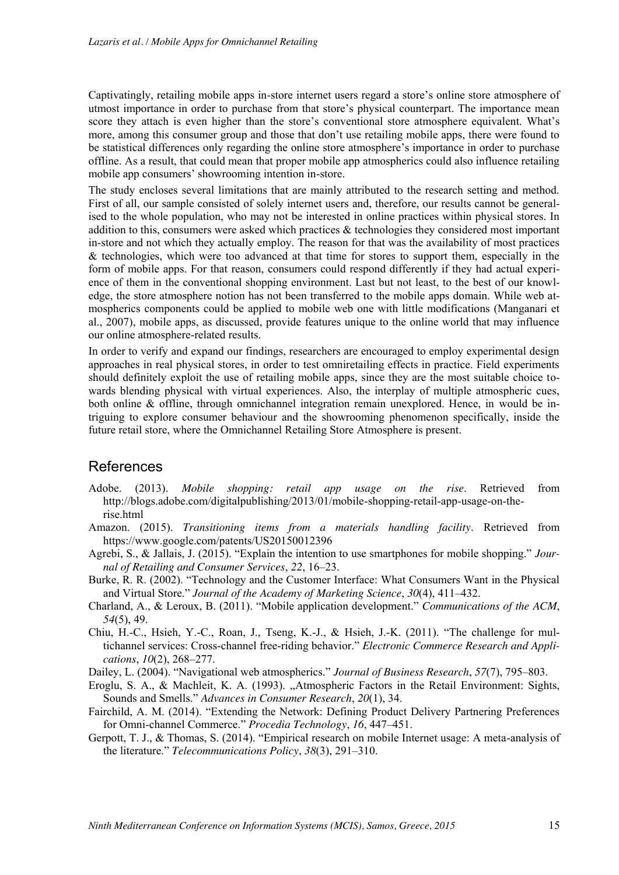Captivatingly, retailing mobile apps in-store internet users regard a store's online store atmosphere of utmost importance in order to purchase from that store's physical counterpart. The importance mean score they attach is even higher than the store's conventional store atmosphere equivalent. What's more, among this consumer group and those that don't use retailing mobile apps, there were found to be statistical differences only regarding the online store atmosphere's importance in order to purchase offline. As a result, that could mean that proper mobile app atmospherics could also influence retailing mobile app consumers' showrooming intention in-store.

The study encloses several limitations that are mainly attributed to the research setting and method. First of all, our sample consisted of solely internet users and, therefore, our results cannot be generalised to the whole population, who may not be interested in online practices within physical stores. In addition to this, consumers were asked which practices & technologies they considered most important in-store and not which they actually employ. The reason for that was the availability of most practices & technologies, which were too advanced at that time for stores to support them, especially in the form of mobile apps. For that reason, consumers could respond differently if they had actual experience of them in the conventional shopping environment. Last but not least, to the best of our knowledge, the store atmosphere notion has not been transferred to the mobile apps domain. While web atmospherics components could be applied to mobile web one with little modifications (Manganari et al., 2007), mobile apps, as discussed, provide features unique to the online world that may influence our online atmosphere-related results.

In order to verify and expand our findings, researchers are encouraged to employ experimental design approaches in real physical stores, in order to test omniretailing effects in practice. Field experiments should definitely exploit the use of retailing mobile apps, since they are the most suitable choice towards blending physical with virtual experiences. Also, the interplay of multiple atmospheric cues, both online & offline, through omnichannel integration remain unexplored. Hence, in would be intriguing to explore consumer behaviour and the showrooming phenomenon specifically, inside the future retail store, where the Omnichannel Retailing Store Atmosphere is present.

#### References

- Adobe. (2013). *Mobile shopping: retail app usage on the rise*. Retrieved from http://blogs.adobe.com/digitalpublishing/2013/01/mobile-shopping-retail-app-usage-on-therise.html
- Amazon. (2015). *Transitioning items from a materials handling facility*. Retrieved from https://www.google.com/patents/US20150012396
- Agrebi, S., & Jallais, J. (2015). "Explain the intention to use smartphones for mobile shopping." *Journal of Retailing and Consumer Services*, *22*, 16–23.
- Burke, R. R. (2002). "Technology and the Customer Interface: What Consumers Want in the Physical and Virtual Store." *Journal of the Academy of Marketing Science*, *30*(4), 411–432.
- Charland, A., & Leroux, B. (2011). "Mobile application development." *Communications of the ACM*, *54*(5), 49.
- Chiu, H.-C., Hsieh, Y.-C., Roan, J., Tseng, K.-J., & Hsieh, J.-K. (2011). "The challenge for multichannel services: Cross-channel free-riding behavior." *Electronic Commerce Research and Applications*, *10*(2), 268–277.
- Dailey, L. (2004). "Navigational web atmospherics." *Journal of Business Research*, *57*(7), 795–803.
- Eroglu, S. A., & Machleit, K. A. (1993). "Atmospheric Factors in the Retail Environment: Sights, Sounds and Smells." *Advances in Consumer Research*, *20*(1), 34.
- Fairchild, A. M. (2014). "Extending the Network: Defining Product Delivery Partnering Preferences for Omni-channel Commerce." *Procedia Technology*, *16*, 447–451.
- Gerpott, T. J., & Thomas, S. (2014). "Empirical research on mobile Internet usage: A meta-analysis of the literature." *Telecommunications Policy*, *38*(3), 291–310.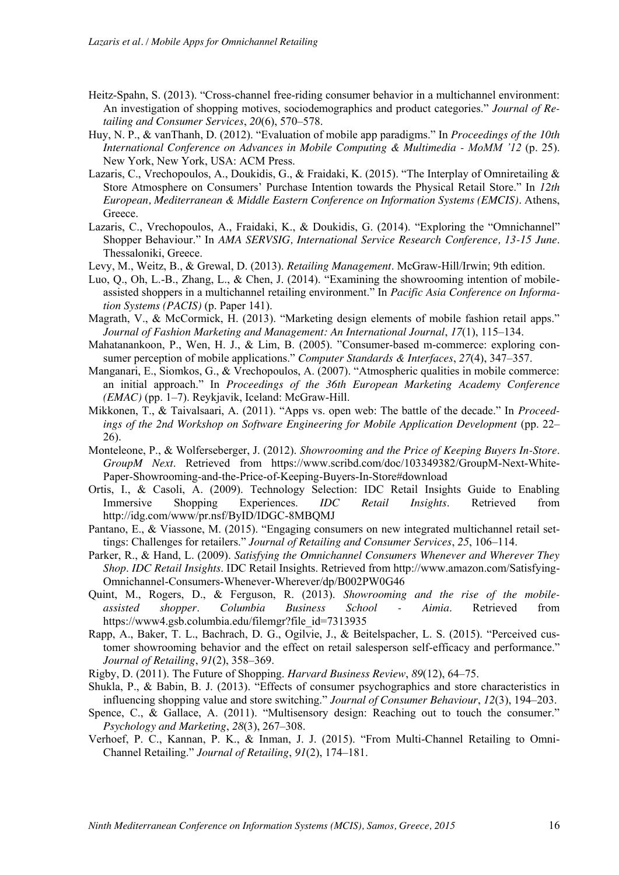- Heitz-Spahn, S. (2013). "Cross-channel free-riding consumer behavior in a multichannel environment: An investigation of shopping motives, sociodemographics and product categories." *Journal of Retailing and Consumer Services*, *20*(6), 570–578.
- Huy, N. P., & vanThanh, D. (2012). "Evaluation of mobile app paradigms." In *Proceedings of the 10th International Conference on Advances in Mobile Computing & Multimedia - MoMM '12* (p. 25). New York, New York, USA: ACM Press.
- Lazaris, C., Vrechopoulos, A., Doukidis, G., & Fraidaki, K. (2015). "The Interplay of Omniretailing & Store Atmosphere on Consumers' Purchase Intention towards the Physical Retail Store." In *12th European, Mediterranean & Middle Eastern Conference on Information Systems (EMCIS)*. Athens, Greece.
- Lazaris, C., Vrechopoulos, A., Fraidaki, K., & Doukidis, G. (2014). "Exploring the "Omnichannel" Shopper Behaviour." In *AMA SERVSIG, International Service Research Conference, 13-15 June*. Thessaloniki, Greece.
- Levy, M., Weitz, B., & Grewal, D. (2013). *Retailing Management*. McGraw-Hill/Irwin; 9th edition.
- Luo, Q., Oh, L.-B., Zhang, L., & Chen, J. (2014). "Examining the showrooming intention of mobileassisted shoppers in a multichannel retailing environment." In *Pacific Asia Conference on Information Systems (PACIS)* (p. Paper 141).
- Magrath, V., & McCormick, H. (2013). "Marketing design elements of mobile fashion retail apps." *Journal of Fashion Marketing and Management: An International Journal*, *17*(1), 115–134.
- Mahatanankoon, P., Wen, H. J., & Lim, B. (2005). "Consumer-based m-commerce: exploring consumer perception of mobile applications." *Computer Standards & Interfaces*, *27*(4), 347–357.
- Manganari, E., Siomkos, G., & Vrechopoulos, A. (2007). "Atmospheric qualities in mobile commerce: an initial approach." In *Proceedings of the 36th European Marketing Academy Conference (EMAC)* (pp. 1–7). Reykjavik, Iceland: McGraw-Hill.
- Mikkonen, T., & Taivalsaari, A. (2011). "Apps vs. open web: The battle of the decade." In *Proceedings of the 2nd Workshop on Software Engineering for Mobile Application Development* (pp. 22– 26).
- Monteleone, P., & Wolferseberger, J. (2012). *Showrooming and the Price of Keeping Buyers In-Store*. *GroupM Next*. Retrieved from https://www.scribd.com/doc/103349382/GroupM-Next-White-Paper-Showrooming-and-the-Price-of-Keeping-Buyers-In-Store#download
- Ortis, I., & Casoli, A. (2009). Technology Selection: IDC Retail Insights Guide to Enabling Immersive Shopping Experiences. *IDC Retail Insights*. Retrieved from http://idg.com/www/pr.nsf/ByID/IDGC-8MBQMJ
- Pantano, E., & Viassone, M. (2015). "Engaging consumers on new integrated multichannel retail settings: Challenges for retailers." *Journal of Retailing and Consumer Services*, *25*, 106–114.
- Parker, R., & Hand, L. (2009). *Satisfying the Omnichannel Consumers Whenever and Wherever They Shop*. *IDC Retail Insights*. IDC Retail Insights. Retrieved from http://www.amazon.com/Satisfying-Omnichannel-Consumers-Whenever-Wherever/dp/B002PW0G46
- Quint, M., Rogers, D., & Ferguson, R. (2013). *Showrooming and the rise of the mobileassisted shopper*. *Columbia Business School - Aimia*. Retrieved from https://www4.gsb.columbia.edu/filemgr?file\_id=7313935
- Rapp, A., Baker, T. L., Bachrach, D. G., Ogilvie, J., & Beitelspacher, L. S. (2015). "Perceived customer showrooming behavior and the effect on retail salesperson self-efficacy and performance." *Journal of Retailing*, *91*(2), 358–369.
- Rigby, D. (2011). The Future of Shopping. *Harvard Business Review*, *89*(12), 64–75.
- Shukla, P., & Babin, B. J. (2013). "Effects of consumer psychographics and store characteristics in influencing shopping value and store switching." *Journal of Consumer Behaviour*, *12*(3), 194–203.
- Spence, C., & Gallace, A. (2011). "Multisensory design: Reaching out to touch the consumer." *Psychology and Marketing*, *28*(3), 267–308.
- Verhoef, P. C., Kannan, P. K., & Inman, J. J. (2015). "From Multi-Channel Retailing to Omni-Channel Retailing." *Journal of Retailing*, *91*(2), 174–181.